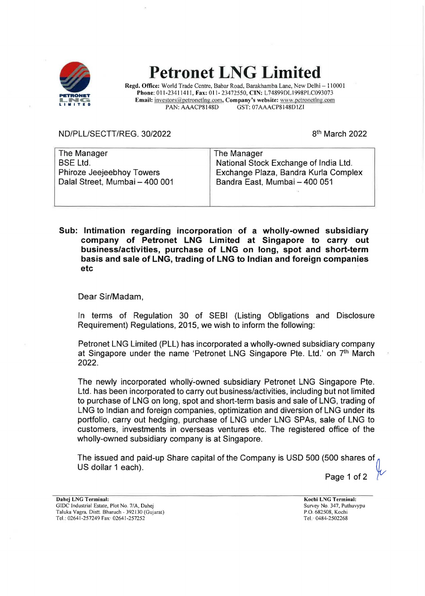

## **Petronet LNG Limited**

**Regd. Office:** World Trade Centre, Babar Road, Barakhamba Lane, New Delhi - 110001 **Phone:** 011-23411411, **Fax:** 011- 23472550, **CIN:** L74899DL1998PLC093073 **Email: investors@petronetlng.com, Company's website:** www.petronetlng.com<br>PAN: AAACP8148D GST: 07AAACP8148D1ZI GST: 07AAACP8148D1ZI

ND/PLL/SECTT/REG. 30/2022

81h March 2022

| The Manager                    | The Manager                           |
|--------------------------------|---------------------------------------|
| <b>BSE Ltd.</b>                | National Stock Exchange of India Ltd. |
| Phiroze Jeejeebhoy Towers      | Exchange Plaza, Bandra Kurla Complex  |
| Dalal Street, Mumbai - 400 001 | Bandra East, Mumbai - 400 051         |
|                                |                                       |
|                                |                                       |

**Sub: Intimation regarding incorporation of a wholly-owned subsidiary company of Petronet LNG Limited at Singapore to carry out business/activities, purchase of LNG on long, spot and short-term basis and sale of LNG, trading of LNG to Indian and foreign companies etc** ·

Dear Sir/Madam,

In terms of Regulation 30 of SEBI (Listing Obligations and Disclosure Requirement) Regulations, 2015, we wish to inform the following:

Petronet LNG Limited (PLL) has incorporated a wholly-owned subsidiary company at Singapore under the name 'Petronet LNG Singapore Pte. Ltd.' on 7<sup>th</sup> March 2022.

The newly incorporated wholly-owned subsidiary Petronet LNG Singapore Pte. Ltd. has been incorporated to carry out business/activities, including but not limited to purchase of LNG on long, spot and short-term basis and sale of LNG, trading of LNG to Indian and foreign companies, optimization and diversion of LNG under its portfolio, carry out hedging, purchase of LNG under LNG SPAs, sale of LNG to customers, investments in overseas ventures etc. The registered office of the wholly-owned subsidiary company is at Singapore.

The issued and paid-up Share capital of the Company is USO 500 (500 shares of~ US dollar 1 each).

Page 1 of 2

**Dahej LNG Terminal:**  GIDC Industrial Estate, Plot No 7/A, Dahej Taluka Vagra. Distt Bharuch - 392130 (Gujarat) Tel.: 02641-257249 Fax· 02641-257252

**Kochi LNG Terminal:**  Survey No. 347, Puthuvypu P.O. 682508, Kochi Tel. 0484-2502268